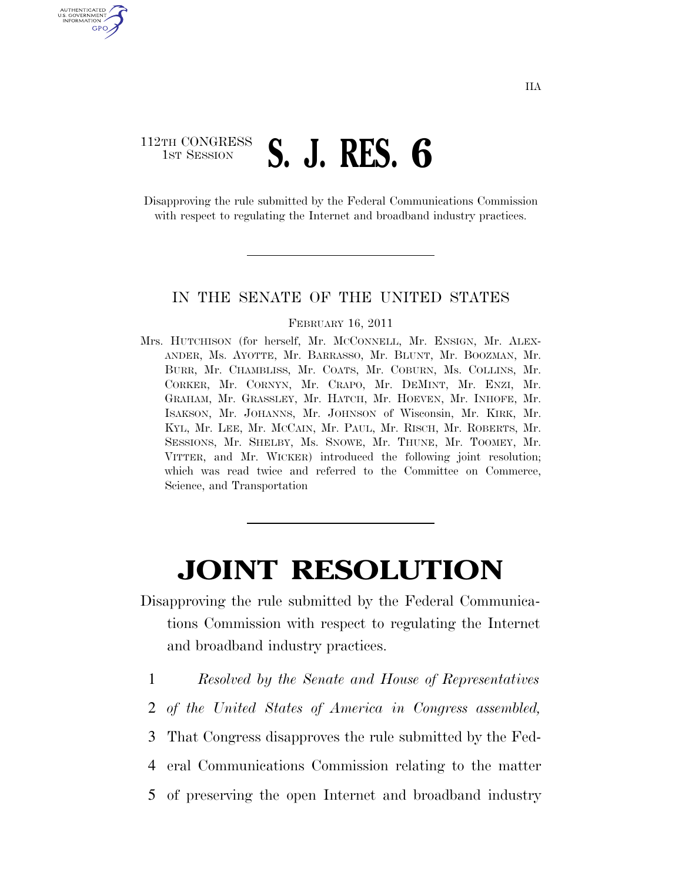## 112TH CONGRESS **1ST SESSION S. J. RES. 6**

AUTHENTICATED U.S. GOVERNMENT GPO

> Disapproving the rule submitted by the Federal Communications Commission with respect to regulating the Internet and broadband industry practices.

## IN THE SENATE OF THE UNITED STATES

## FEBRUARY 16, 2011

Mrs. HUTCHISON (for herself, Mr. MCCONNELL, Mr. ENSIGN, Mr. ALEX-ANDER, Ms. AYOTTE, Mr. BARRASSO, Mr. BLUNT, Mr. BOOZMAN, Mr. BURR, Mr. CHAMBLISS, Mr. COATS, Mr. COBURN, Ms. COLLINS, Mr. CORKER, Mr. CORNYN, Mr. CRAPO, Mr. DEMINT, Mr. ENZI, Mr. GRAHAM, Mr. GRASSLEY, Mr. HATCH, Mr. HOEVEN, Mr. INHOFE, Mr. ISAKSON, Mr. JOHANNS, Mr. JOHNSON of Wisconsin, Mr. KIRK, Mr. KYL, Mr. LEE, Mr. MCCAIN, Mr. PAUL, Mr. RISCH, Mr. ROBERTS, Mr. SESSIONS, Mr. SHELBY, Ms. SNOWE, Mr. THUNE, Mr. TOOMEY, Mr. VITTER, and Mr. WICKER) introduced the following joint resolution; which was read twice and referred to the Committee on Commerce, Science, and Transportation

## **JOINT RESOLUTION**

- Disapproving the rule submitted by the Federal Communications Commission with respect to regulating the Internet and broadband industry practices.
	- 1 *Resolved by the Senate and House of Representatives*
	- 2 *of the United States of America in Congress assembled,*
	- 3 That Congress disapproves the rule submitted by the Fed-
	- 4 eral Communications Commission relating to the matter
	- 5 of preserving the open Internet and broadband industry